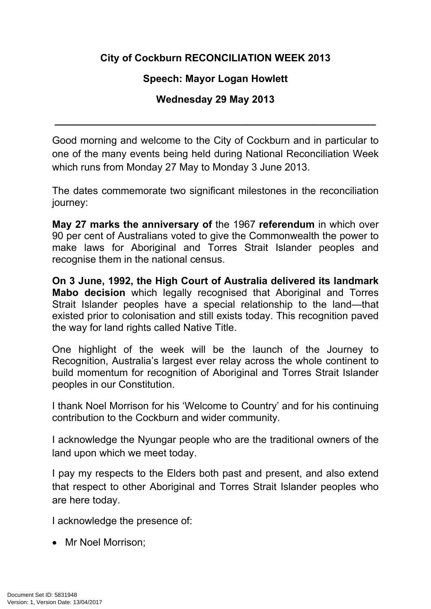## **City of Cockburn RECONCILIATION WEEK 2013**

## **Speech: Mayor Logan Howlett**

## **Wednesday 29 May 2013**

**\_\_\_\_\_\_\_\_\_\_\_\_\_\_\_\_\_\_\_\_\_\_\_\_\_\_\_\_\_\_\_\_\_\_\_\_\_\_\_\_\_\_\_\_\_\_\_\_\_\_\_\_\_\_\_\_\_**

Good morning and welcome to the City of Cockburn and in particular to one of the many events being held during National Reconciliation Week which runs from Monday 27 May to Monday 3 June 2013.

The dates commemorate two significant milestones in the reconciliation journey:

**May 27 marks the anniversary of** the 1967 **referendum** in which over 90 per cent of Australians voted to give the Commonwealth the power to make laws for Aboriginal and Torres Strait Islander peoples and recognise them in the national census.

**On 3 June, 1992, the High Court of Australia delivered its landmark Mabo decision** which legally recognised that Aboriginal and Torres Strait Islander peoples have a special relationship to the land—that existed prior to colonisation and still exists today. This recognition paved the way for land rights called Native Title.

One highlight of the week will be the launch of the Journey to Recognition, Australia's largest ever relay across the whole continent to build momentum for recognition of Aboriginal and Torres Strait Islander peoples in our Constitution.

I thank Noel Morrison for his 'Welcome to Country' and for his continuing contribution to the Cockburn and wider community.

I acknowledge the Nyungar people who are the traditional owners of the land upon which we meet today.

I pay my respects to the Elders both past and present, and also extend that respect to other Aboriginal and Torres Strait Islander peoples who are here today.

I acknowledge the presence of:

• Mr Noel Morrison: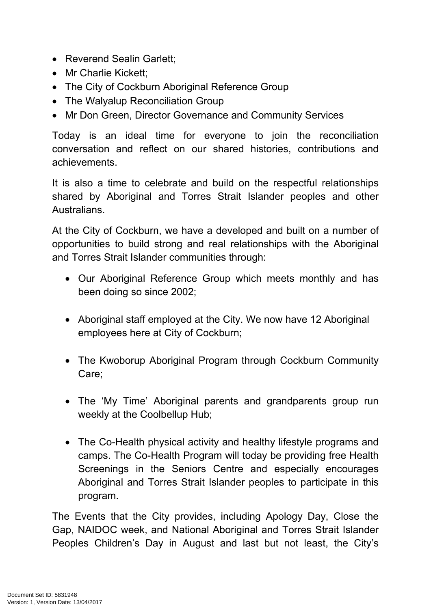- Reverend Sealin Garlett;
- Mr Charlie Kickett;
- The City of Cockburn Aboriginal Reference Group
- The Walyalup Reconciliation Group
- Mr Don Green, Director Governance and Community Services

Today is an ideal time for everyone to join the reconciliation conversation and reflect on our shared histories, contributions and achievements.

It is also a time to celebrate and build on the respectful relationships shared by Aboriginal and Torres Strait Islander peoples and other Australians.

At the City of Cockburn, we have a developed and built on a number of opportunities to build strong and real relationships with the Aboriginal and Torres Strait Islander communities through:

- Our Aboriginal Reference Group which meets monthly and has been doing so since 2002;
- Aboriginal staff employed at the City. We now have 12 Aboriginal employees here at City of Cockburn;
- The Kwoborup Aboriginal Program through Cockburn Community Care;
- The 'My Time' Aboriginal parents and grandparents group run weekly at the Coolbellup Hub;
- The Co-Health physical activity and healthy lifestyle programs and camps. The Co-Health Program will today be providing free Health Screenings in the Seniors Centre and especially encourages Aboriginal and Torres Strait Islander peoples to participate in this program.

The Events that the City provides, including Apology Day, Close the Gap, NAIDOC week, and National Aboriginal and Torres Strait Islander Peoples Children's Day in August and last but not least, the City's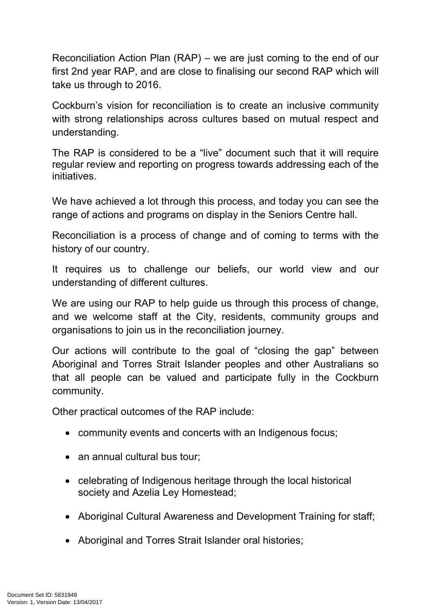Reconciliation Action Plan (RAP) – we are just coming to the end of our first 2nd year RAP, and are close to finalising our second RAP which will take us through to 2016.

Cockburn's vision for reconciliation is to create an inclusive community with strong relationships across cultures based on mutual respect and understanding.

The RAP is considered to be a "live" document such that it will require regular review and reporting on progress towards addressing each of the initiatives.

We have achieved a lot through this process, and today you can see the range of actions and programs on display in the Seniors Centre hall.

Reconciliation is a process of change and of coming to terms with the history of our country.

It requires us to challenge our beliefs, our world view and our understanding of different cultures.

We are using our RAP to help guide us through this process of change, and we welcome staff at the City, residents, community groups and organisations to join us in the reconciliation journey.

Our actions will contribute to the goal of "closing the gap" between Aboriginal and Torres Strait Islander peoples and other Australians so that all people can be valued and participate fully in the Cockburn community.

Other practical outcomes of the RAP include:

- community events and concerts with an Indigenous focus;
- an annual cultural bus tour;
- celebrating of Indigenous heritage through the local historical society and Azelia Ley Homestead;
- Aboriginal Cultural Awareness and Development Training for staff;
- Aboriginal and Torres Strait Islander oral histories;